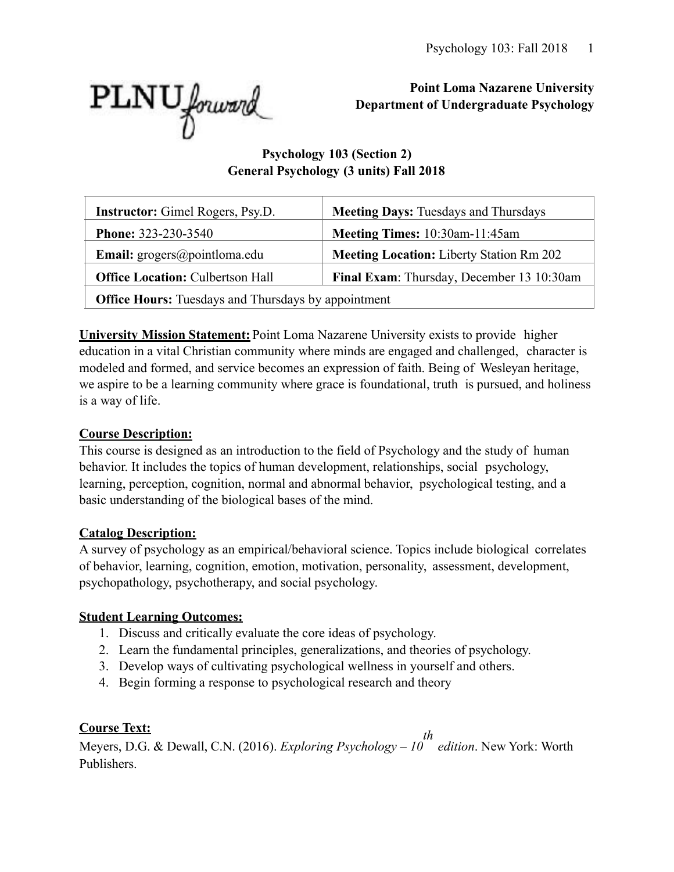

**Point Loma Nazarene University Department of Undergraduate Psychology** 

## **Psychology 103 (Section 2) General Psychology (3 units) Fall 2018**

| <b>Instructor:</b> Gimel Rogers, Psy.D.                                              | <b>Meeting Days: Tuesdays and Thursdays</b>     |  |  |  |  |
|--------------------------------------------------------------------------------------|-------------------------------------------------|--|--|--|--|
| <b>Phone: 323-230-3540</b>                                                           | Meeting Times: 10:30am-11:45am                  |  |  |  |  |
| <b>Email:</b> $\text{grogers}(\text{a)pointloma.edu}$                                | <b>Meeting Location:</b> Liberty Station Rm 202 |  |  |  |  |
| Final Exam: Thursday, December 13 10:30am<br><b>Office Location: Culbertson Hall</b> |                                                 |  |  |  |  |
| <b>Office Hours:</b> Tuesdays and Thursdays by appointment                           |                                                 |  |  |  |  |

**University Mission Statement:** Point Loma Nazarene University exists to provide higher education in a vital Christian community where minds are engaged and challenged, character is modeled and formed, and service becomes an expression of faith. Being of Wesleyan heritage, we aspire to be a learning community where grace is foundational, truth is pursued, and holiness is a way of life.

# **Course Description:**

This course is designed as an introduction to the field of Psychology and the study of human behavior. It includes the topics of human development, relationships, social psychology, learning, perception, cognition, normal and abnormal behavior, psychological testing, and a basic understanding of the biological bases of the mind.

## **Catalog Description:**

A survey of psychology as an empirical/behavioral science. Topics include biological correlates of behavior, learning, cognition, emotion, motivation, personality, assessment, development, psychopathology, psychotherapy, and social psychology.

# **Student Learning Outcomes:**

- 1. Discuss and critically evaluate the core ideas of psychology.
- 2. Learn the fundamental principles, generalizations, and theories of psychology.
- 3. Develop ways of cultivating psychological wellness in yourself and others.
- 4. Begin forming a response to psychological research and theory

# **Course Text:**

Meyers, D.G. & Dewall, C.N. (2016). *Exploring Psychology – 10 th edition*. New York: Worth Publishers.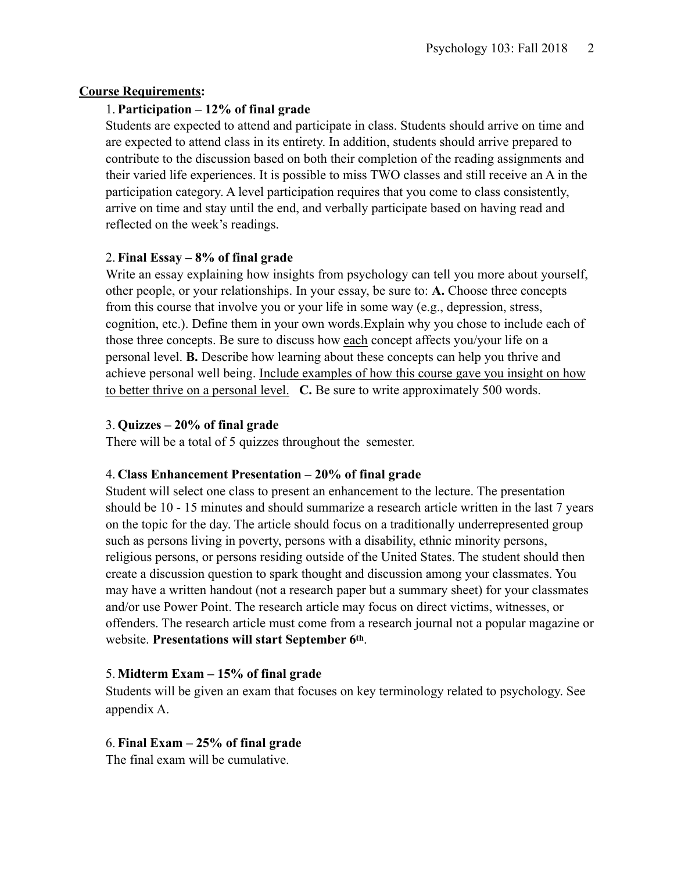#### **Course Requirements:**

#### 1. **Participation – 12% of final grade**

Students are expected to attend and participate in class. Students should arrive on time and are expected to attend class in its entirety. In addition, students should arrive prepared to contribute to the discussion based on both their completion of the reading assignments and their varied life experiences. It is possible to miss TWO classes and still receive an A in the participation category. A level participation requires that you come to class consistently, arrive on time and stay until the end, and verbally participate based on having read and reflected on the week's readings.

#### 2. **Final Essay – 8% of final grade**

Write an essay explaining how insights from psychology can tell you more about yourself, other people, or your relationships. In your essay, be sure to: **A.** Choose three concepts from this course that involve you or your life in some way (e.g., depression, stress, cognition, etc.). Define them in your own words.Explain why you chose to include each of those three concepts. Be sure to discuss how each concept affects you/your life on a personal level. **B.** Describe how learning about these concepts can help you thrive and achieve personal well being. Include examples of how this course gave you insight on how to better thrive on a personal level. **C.** Be sure to write approximately 500 words.

#### 3. **Quizzes – 20% of final grade**

There will be a total of 5 quizzes throughout the semester.

## 4. **Class Enhancement Presentation – 20% of final grade**

Student will select one class to present an enhancement to the lecture. The presentation should be 10 - 15 minutes and should summarize a research article written in the last 7 years on the topic for the day. The article should focus on a traditionally underrepresented group such as persons living in poverty, persons with a disability, ethnic minority persons, religious persons, or persons residing outside of the United States. The student should then create a discussion question to spark thought and discussion among your classmates. You may have a written handout (not a research paper but a summary sheet) for your classmates and/or use Power Point. The research article may focus on direct victims, witnesses, or offenders. The research article must come from a research journal not a popular magazine or website. **Presentations will start September 6th**.

#### 5. **Midterm Exam – 15% of final grade**

Students will be given an exam that focuses on key terminology related to psychology. See appendix A.

## 6. **Final Exam – 25% of final grade**

The final exam will be cumulative.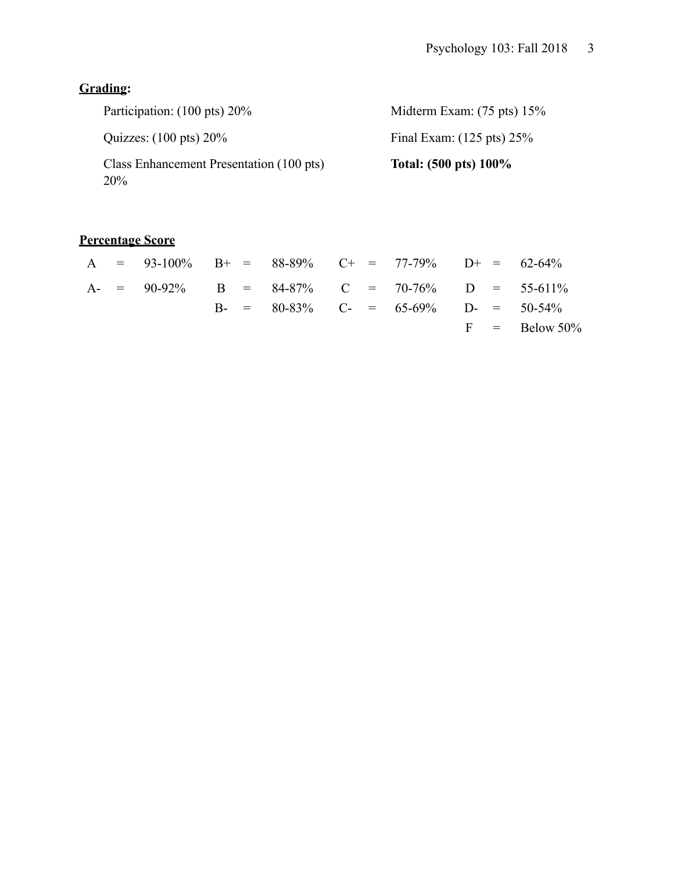# **Grading:**

| Participation: (100 pts) 20%                           | Midterm Exam: $(75 \text{ pts}) 15\%$ |
|--------------------------------------------------------|---------------------------------------|
| Quizzes: $(100 \text{ pts}) 20\%$                      | Final Exam: $(125 \text{ pts}) 25\%$  |
| Class Enhancement Presentation (100 pts)<br><b>20%</b> | Total: $(500 \text{ pts}) 100\%$      |

# **Percentage Score**

|  | A = $93-100\%$ B+ = $88-89\%$ C+ = $77-79\%$ D+ = $62-64\%$ |  |  |                                              |  |                  |
|--|-------------------------------------------------------------|--|--|----------------------------------------------|--|------------------|
|  | A- = $90-92\%$ B = $84-87\%$ C = $70-76\%$ D = $55-611\%$   |  |  |                                              |  |                  |
|  |                                                             |  |  | B- = $80-83\%$ C- = $65-69\%$ D- = $50-54\%$ |  |                  |
|  |                                                             |  |  |                                              |  | $F = Below 50\%$ |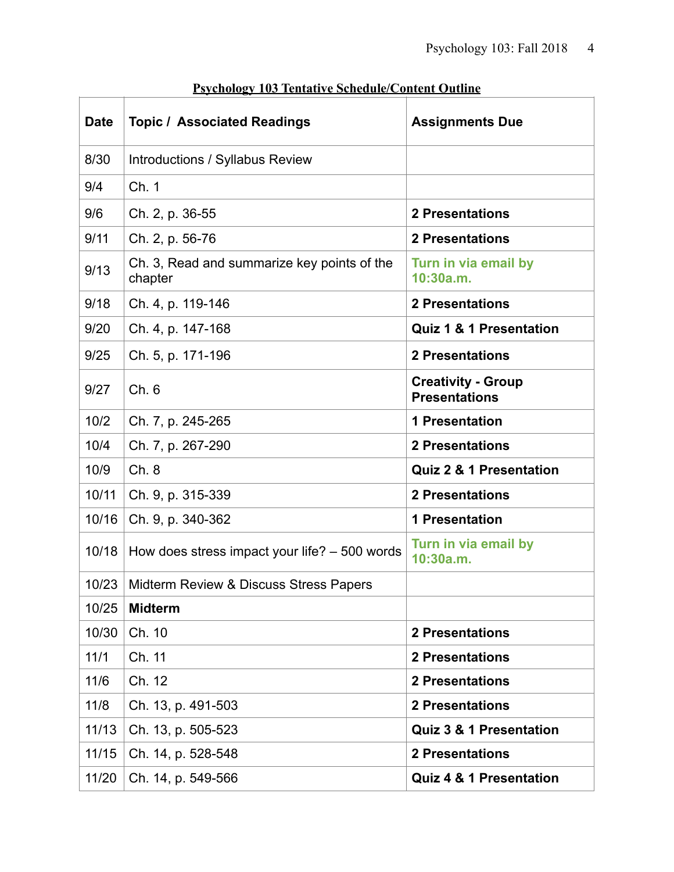| <b>Date</b> | <b>Topic / Associated Readings</b>                     | <b>Assignments Due</b>                            |
|-------------|--------------------------------------------------------|---------------------------------------------------|
| 8/30        | Introductions / Syllabus Review                        |                                                   |
| 9/4         | Ch. 1                                                  |                                                   |
| 9/6         | Ch. 2, p. 36-55                                        | <b>2 Presentations</b>                            |
| 9/11        | Ch. 2, p. 56-76                                        | <b>2 Presentations</b>                            |
| 9/13        | Ch. 3, Read and summarize key points of the<br>chapter | Turn in via email by<br>10:30a.m.                 |
| 9/18        | Ch. 4, p. 119-146                                      | <b>2 Presentations</b>                            |
| 9/20        | Ch. 4, p. 147-168                                      | <b>Quiz 1 &amp; 1 Presentation</b>                |
| 9/25        | Ch. 5, p. 171-196                                      | <b>2 Presentations</b>                            |
| 9/27        | Ch.6                                                   | <b>Creativity - Group</b><br><b>Presentations</b> |
| 10/2        | Ch. 7, p. 245-265                                      | <b>1 Presentation</b>                             |
| 10/4        | Ch. 7, p. 267-290                                      | <b>2 Presentations</b>                            |
| 10/9        | Ch. 8                                                  | <b>Quiz 2 &amp; 1 Presentation</b>                |
| 10/11       | Ch. 9, p. 315-339                                      | <b>2 Presentations</b>                            |
| 10/16       | Ch. 9, p. 340-362                                      | <b>1 Presentation</b>                             |
| 10/18       | How does stress impact your life? $-500$ words         | Turn in via email by<br>10:30a.m.                 |
| 10/23       | Midterm Review & Discuss Stress Papers                 |                                                   |
| 10/25       | <b>Midterm</b>                                         |                                                   |
| 10/30       | Ch. 10                                                 | <b>2 Presentations</b>                            |
| 11/1        | Ch. 11                                                 | <b>2 Presentations</b>                            |
| 11/6        | Ch. 12                                                 | <b>2 Presentations</b>                            |
| 11/8        | Ch. 13, p. 491-503                                     | <b>2 Presentations</b>                            |
| 11/13       | Ch. 13, p. 505-523                                     | <b>Quiz 3 &amp; 1 Presentation</b>                |
| 11/15       | Ch. 14, p. 528-548                                     | <b>2 Presentations</b>                            |
| 11/20       | Ch. 14, p. 549-566                                     | <b>Quiz 4 &amp; 1 Presentation</b>                |

# **Psychology 103 Tentative Schedule/Content Outline**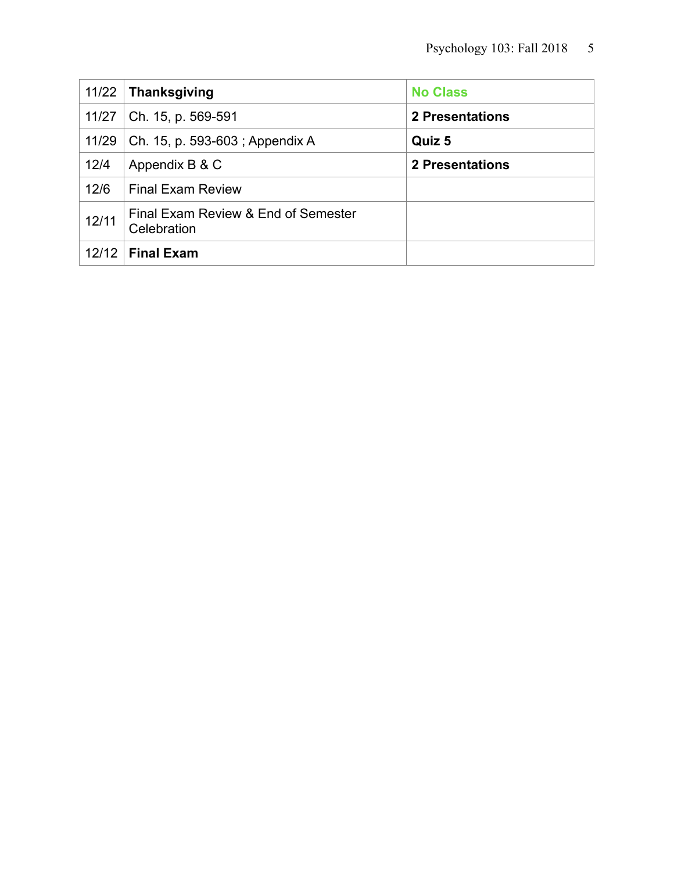| 11/22 | Thanksgiving                                       | <b>No Class</b>        |
|-------|----------------------------------------------------|------------------------|
| 11/27 | Ch. 15, p. 569-591                                 | <b>2 Presentations</b> |
| 11/29 | Ch. 15, p. 593-603; Appendix A                     | Quiz 5                 |
| 12/4  | Appendix B & C                                     | <b>2 Presentations</b> |
| 12/6  | <b>Final Exam Review</b>                           |                        |
| 12/11 | Final Exam Review & End of Semester<br>Celebration |                        |
| 12/12 | <b>Final Exam</b>                                  |                        |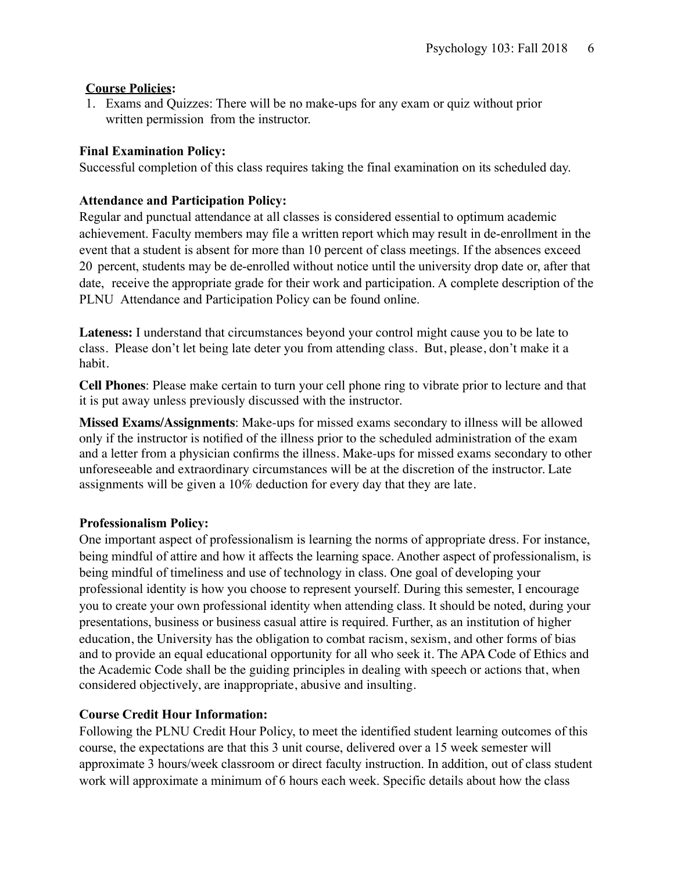#### **Course Policies:**

1. Exams and Quizzes: There will be no make-ups for any exam or quiz without prior written permission from the instructor.

#### **Final Examination Policy:**

Successful completion of this class requires taking the final examination on its scheduled day.

#### **Attendance and Participation Policy:**

Regular and punctual attendance at all classes is considered essential to optimum academic achievement. Faculty members may file a written report which may result in de-enrollment in the event that a student is absent for more than 10 percent of class meetings. If the absences exceed 20 percent, students may be de-enrolled without notice until the university drop date or, after that date, receive the appropriate grade for their work and participation. A complete description of the PLNU Attendance [and Participation](http://catalog.pointloma.edu/content.php?catoid=18&navoid=1278&Class_Attendance) Policy can be found online.

**Lateness:** I understand that circumstances beyond your control might cause you to be late to class. Please don't let being late deter you from attending class. But, please, don't make it a habit.

**Cell Phones**: Please make certain to turn your cell phone ring to vibrate prior to lecture and that it is put away unless previously discussed with the instructor.

**Missed Exams/Assignments**: Make-ups for missed exams secondary to illness will be allowed only if the instructor is notified of the illness prior to the scheduled administration of the exam and a letter from a physician confirms the illness. Make-ups for missed exams secondary to other unforeseeable and extraordinary circumstances will be at the discretion of the instructor. Late assignments will be given a 10% deduction for every day that they are late.

#### **Professionalism Policy:**

One important aspect of professionalism is learning the norms of appropriate dress. For instance, being mindful of attire and how it affects the learning space. Another aspect of professionalism, is being mindful of timeliness and use of technology in class. One goal of developing your professional identity is how you choose to represent yourself. During this semester, I encourage you to create your own professional identity when attending class. It should be noted, during your presentations, business or business casual attire is required. Further, as an institution of higher education, the University has the obligation to combat racism, sexism, and other forms of bias and to provide an equal educational opportunity for all who seek it. The APA Code of Ethics and the Academic Code shall be the guiding principles in dealing with speech or actions that, when considered objectively, are inappropriate, abusive and insulting.

## **Course Credit Hour Information:**

Following the PLNU Credit Hour Policy, to meet the identified student learning outcomes of this course, the expectations are that this 3 unit course, delivered over a 15 week semester will approximate 3 hours/week classroom or direct faculty instruction. In addition, out of class student work will approximate a minimum of 6 hours each week. Specific details about how the class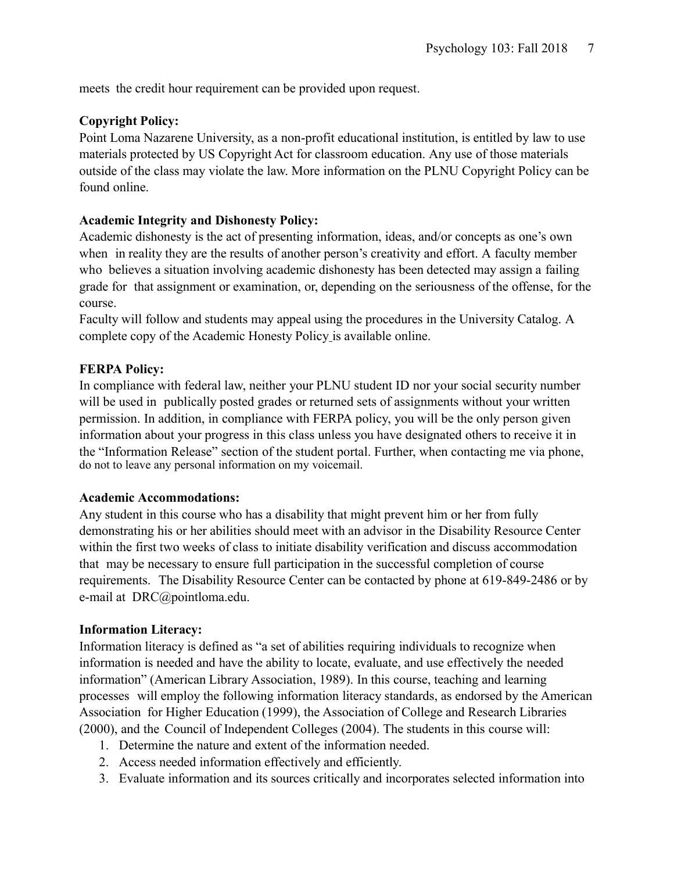meets the credit hour requirement can be provided upon request.

#### **Copyright Policy:**

Point Loma Nazarene University, as a non-profit educational institution, is entitled by law to use materials protected by US Copyright Act for classroom education. Any use of those materials outside of the class may violate the law. More information on the PLNU Copyright Policy can be found online.

#### **Academic Integrity and Dishonesty Policy:**

Academic dishonesty is the act of presenting information, ideas, and/or concepts as one's own when in reality they are the results of another person's creativity and effort. A faculty member who believes a situation involving academic dishonesty has been detected may assign a failing grade for that assignment or examination, or, depending on the seriousness of the offense, for the course.

Faculty will follow and students may appeal using the procedures in the University Catalog. A complete copy of the Academic Honesty Policy is available online.

#### **FERPA Policy:**

In compliance with federal law, neither your PLNU student ID nor your social security number will be used in publically posted grades or returned sets of assignments without your written permission. In addition, in compliance with FERPA policy, you will be the only person given information about your progress in this class unless you have designated others to receive it in the "Information Release" section of the student portal. Further, when contacting me via phone, do not to leave any personal information on my voicemail.

#### **Academic Accommodations:**

Any student in this course who has a disability that might prevent him or her from fully demonstrating his or her abilities should meet with an advisor in the Disability Resource Center within the first two weeks of class to initiate disability verification and discuss accommodation that may be necessary to ensure full participation in the successful completion of course requirements. The Disability Resource Center can be contacted by phone at 619-849-2486 or by e-mail at DRC@pointloma.edu.

#### **Information Literacy:**

Information literacy is defined as "a set of abilities requiring individuals to recognize when information is needed and have the ability to locate, evaluate, and use effectively the needed information" (American Library Association, 1989). In this course, teaching and learning processes will employ the following information literacy standards, as endorsed by the American Association for Higher Education (1999), the Association of College and Research Libraries (2000), and the Council of Independent Colleges (2004). The students in this course will:

- 1. Determine the nature and extent of the information needed.
- 2. Access needed information effectively and efficiently.
- 3. Evaluate information and its sources critically and incorporates selected information into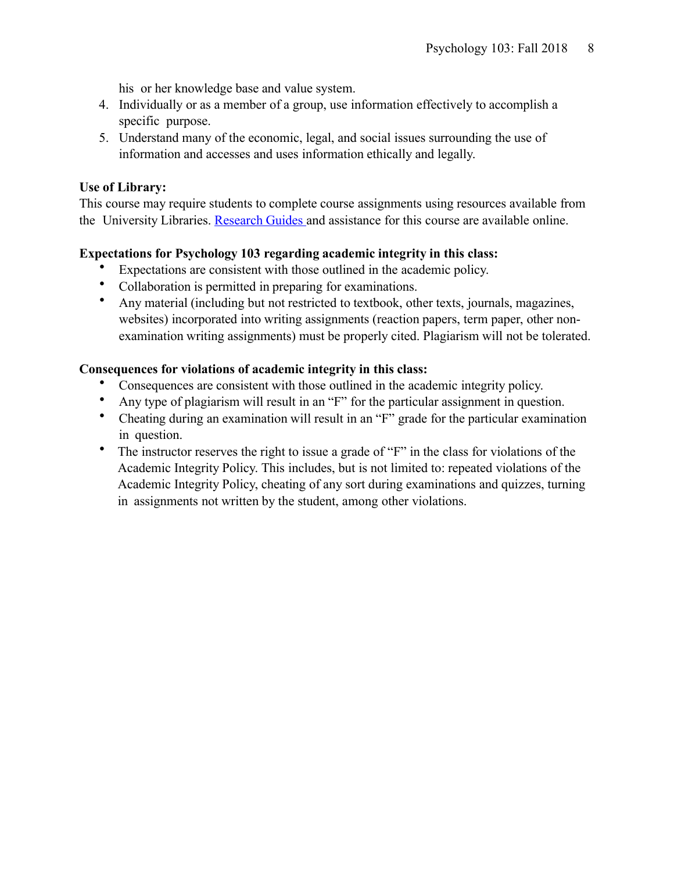his or her knowledge base and value system.

- 4. Individually or as a member of a group, use information effectively to accomplish a specific purpose.
- 5. Understand many of the economic, legal, and social issues surrounding the use of information and accesses and uses information ethically and legally.

#### **Use of Library:**

This course may require students to complete course assignments using resources available from the University Libraries. [Research](http://libguides.pointloma.edu/ResearchGuides) Guides and assistance for this course are available online.

#### **Expectations for Psychology 103 regarding academic integrity in this class:**

- Expectations are consistent with those outlined in the academic policy.
- Collaboration is permitted in preparing for examinations.
- Any material (including but not restricted to textbook, other texts, journals, magazines, websites) incorporated into writing assignments (reaction papers, term paper, other nonexamination writing assignments) must be properly cited. Plagiarism will not be tolerated.

#### **Consequences for violations of academic integrity in this class:**

- Consequences are consistent with those outlined in the academic integrity policy.
- Any type of plagiarism will result in an "F" for the particular assignment in question.
- Cheating during an examination will result in an "F" grade for the particular examination in question.
- The instructor reserves the right to issue a grade of "F" in the class for violations of the Academic Integrity Policy. This includes, but is not limited to: repeated violations of the Academic Integrity Policy, cheating of any sort during examinations and quizzes, turning in assignments not written by the student, among other violations.